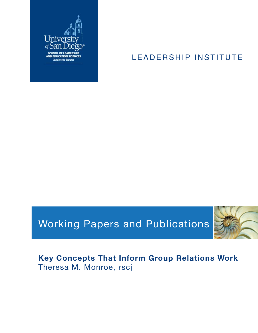

# LEADERSHIP INSTITUTE

# Working Papers and Publications



# **Key Concepts That Inform Group Relations Work** Theresa M. Monroe, rscj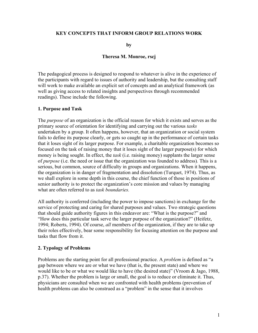#### **KEY CONCEPTS THAT INFORM GROUP RELATIONS WORK**

**by** 

#### **Theresa M. Monroe, rscj**

The pedagogical process is designed to respond to whatever is alive in the experience of the participants with regard to issues of authority and leadership, but the consulting staff will work to make available an explicit set of concepts and an analytical framework (as well as giving access to related insights and perspectives through recommended readings). These include the following.

#### **1. Purpose and Task**

The *purpose* of an organization is the official reason for which it exists and serves as the primary source of orientation for identifying and carrying out the various *tasks* undertaken by a group. It often happens, however, that an organization or social system fails to define its purpose clearly, or gets so caught up in the performance of certain tasks that it loses sight of its larger purpose. For example, a charitable organization becomes so focused on the task of raising money that it loses sight of the larger purpose(s) for which money is being sought. In effect, the *task* (i.e. raising money) supplants the larger sense of *purpose* (i.e. the need or issue that the organization was founded to address)*.* This is a serious, but common, source of difficulty in groups and organizations. When it happens, the organization is in danger of fragmentation and dissolution (Turquet, 1974). Thus, as we shall explore in some depth in this course, the chief function of those in positions of senior authority is to protect the organization's core mission and values by managing what are often referred to as *task boundaries.* 

All authority is conferred (including the power to impose sanctions) in exchange for the service of protecting and caring for shared purposes and values. Two strategic questions that should guide authority figures in this endeavor are: "What is the purpose?" and "How does this particular task serve the larger purpose of the organization?" (Heifetz, 1994; Roberts, 1994). Of course, *all* members of the organization, if they are to take up their roles effectively, bear some responsibility for focusing attention on the purpose and tasks that flow from it.

#### **2. Typology of Problems**

Problems are the starting point for all professional practice. A *problem* is defined as "a gap between where we are or what we have (that is, the present state) and where we would like to be or what we would like to have (the desired state)" (Vroom & Jago, 1988, p.37). Whether the problem is large or small, the goal is to reduce or eliminate it. Thus, physicians are consulted when we are confronted with health problems (prevention of health problems can also be construed as a "problem" in the sense that it involves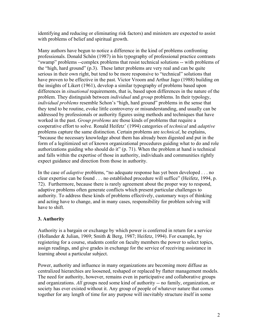identifying and reducing or eliminating risk factors) and ministers are expected to assist with problems of belief and spiritual growth.

Many authors have begun to notice a difference in the kind of problems confronting professionals. Donald Schön (1987) in his typography of professional practice contrasts "swamp" problems --complex problems that resist technical solutions -- with problems of the "high, hard ground" (p.3). These latter problems are very real and can be quite serious in their own right, but tend to be more responsive to "technical" solutions that have proven to be effective in the past. Victor Vroom and Arthur Jago (1988) building on the insights of Likert (1961), develop a similar typography of problems based upon differences in *situational* requirements, that is, based upon differences in the nature of the problem. They distinguish between *individual* and *group* problems. In their typology, *individual problems* resemble Schon's "high, hard ground" problems in the sense that they tend to be routine, evoke little controversy or misunderstanding, and usually can be addressed by professionals or authority figures using methods and techniques that have worked in the past. *Group problems* are those kinds of problems that require a cooperative effort to solve. Ronald Heifetz' (1994) categories of *technical* and *adaptive* problems capture the same distinction. Certain problems are *technical*, he explains, "because the necessary knowledge about them has already been digested and put in the form of a legitimized set of known organizational procedures guiding what to do and role authorizations guiding who should do it" (p. 71). When the problem at hand is technical and falls within the expertise of those in authority, individuals and communities rightly expect guidance and direction from those in authority.

In the case of *adaptive* problems, "no adequate response has yet been developed . . . no clear expertise can be found . . . no established procedure will suffice" (Heifetz, 1994, p. 72). Furthermore, because there is rarely agreement about the proper way to respond, adaptive problems often generate conflicts which present particular challenges to authority. To address these kinds of problems effectively, customary ways of thinking and acting have to change, and in many cases, responsibility for problem solving will have to shift.

# **3. Authority**

Authority is a bargain or exchange by which power is conferred in return for a service (Hollander & Julian, 1969; Smith & Berg, 1987; Heifetz, 1994). For example, by registering for a course, students confer on faculty members the power to select topics, assign readings, and give grades in exchange for the service of receiving assistance in learning about a particular subject.

Power, authority and influence in many organizations are becoming more diffuse as centralized hierarchies are loosened, reshaped or replaced by flatter management models. The need for authority, however, remains even in participative and collaborative groups and organizations. *All* groups need some kind of authority -- no family, organization, or society has ever existed without it. Any group of people of whatever nature that comes together for any length of time for any purpose will inevitably structure itself in some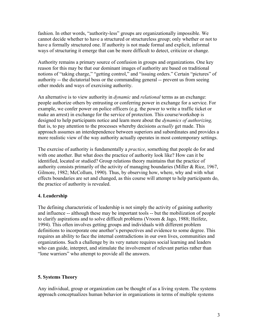fashion. In other words, "authority-less" groups are organizationally impossible. We cannot decide whether to have a structured or structureless group; only whether or not to have a formally structured one. If authority is not made formal and explicit, informal ways of structuring it emerge that can be more difficult to detect, criticize or change.

Authority remains a primary source of confusion in groups and organizations. One key reason for this may be that our dominant images of authority are based on traditional notions of "taking charge," "getting control," and "issuing orders." Certain "pictures" of authority -- the dictatorial boss or the commanding general -- prevent us from seeing other models and ways of exercising authority.

An alternative is to view authority in *dynamic* and *relational* terms as an exchange: people authorize others by entrusting or conferring power in exchange for a service. For example, we confer power on police officers (e.g. the power to write a traffic ticket or make an arrest) in exchange for the service of protection. This course/workshop is designed to help participants notice and learn more about the *dynamics of authorizing,*  that is, to pay attention to the processes whereby decisions *actually* get made. This approach assumes an interdependence between superiors and subordinates and provides a more realistic view of the way authority actually operates in most contemporary settings.

The exercise of authority is fundamentally a *practice*, something that people do for and with one another. But what does the practice of authority look like? How can it be identified, located or studied? Group relations theory maintains that the practice of authority consists primarily of the activity of managing boundaries (Miller & Rice, 1967, Gilmore, 1982; McCollum, 1990). Thus, by observing how, where, why and with what effects boundaries are set and changed, as this course will attempt to help participants do, the practice of authority is revealed.

# **4. Leadership**

The defining characteristic of leadership is not simply the activity of gaining authority and influence -- although these may be important tools -- but the mobilization of people to clarify aspirations and to solve difficult problems (Vroom & Jago, 1988; Heifetz, 1994). This often involves getting groups and individuals with different problem definitions to incorporate one another's perspectives and evidence to some degree. This requires an ability to face the internal contradictions in our own lives, communities and organizations. Such a challenge by its very nature requires social learning and leaders who can guide, interpret, and stimulate the involvement of relevant parties rather than "lone warriors" who attempt to provide all the answers.

# **5. Systems Theory**

Any individual, group or organization can be thought of as a living system. The systems approach conceptualizes human behavior in organizations in terms of multiple systems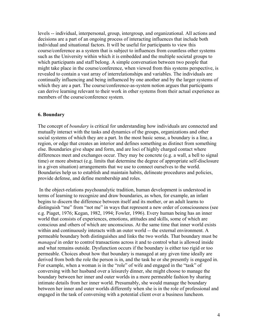levels -- individual, interpersonal, group, intergroup, and organizational. All actions and decisions are a part of an ongoing process of interacting influences that include both individual and situational factors. It will be useful for participants to view this course/conference as a system that is subject to influences from countless other systems such as the University within which it is embedded and the multiple societal groups to which participants and staff belong. A simple conversation between two people that might take place in the course/conference, when viewed from this systems perspective, is revealed to contain a vast array of interrelationships and variables. The individuals are continually influencing and being influenced by one another and by the larger systems of which they are a part. The course/conference-as-system notion argues that participants can derive learning relevant to their work in other systems from their actual experience as members of the course/conference system.

#### **6. Boundary**

The concept of *boundary* is critical for understanding how individuals are connected and mutually interact with the tasks and dynamics of the groups, organizations and other social systems of which they are a part. In the most basic sense, a boundary is a line, a region, or edge that creates an interior and defines something as distinct from something else. Boundaries give shape and form, and are loci of highly charged contact where differences meet and exchanges occur. They may be concrete (e.g. a wall, a bell to signal time) or more abstract (e.g. limits that determine the degree of appropriate self-disclosure in a given situation) arrangements that we use to connect ourselves to the world. Boundaries help us to establish and maintain habits, delineate procedures and policies, provide defense, and define membership and roles.

 In the object-relations psychoanalytic tradition, human development is understood in terms of learning to recognize and draw boundaries, as when, for example, an infant begins to discern the difference between itself and its mother, or an adult learns to distinguish "me" from "not me" in ways that represent a new order of consciousness (see e.g. Piaget, 1976; Kegan, 1982, 1994; Fowler, 1996). Every human being has an inner world that consists of experiences, emotions, attitudes and skills, some of which are conscious and others of which are unconscious. At the same time that inner world exists within and continuously interacts with an outer world -- the external environment. A permeable boundary both distinguishes and links the two worlds. That boundary must be *managed* in order to control transactions across it and to control what is allowed inside and what remains outside. Dysfunction occurs if the boundary is either too rigid or too permeable. Choices about how that boundary is managed at any given time ideally are derived from both the role the person is in, and the task he or she presently is engaged in. For example, when a woman is in the "role" of wife and engaged in the "task" of conversing with her husband over a leisurely dinner, she might choose to manage the boundary between her inner and outer worlds in a more permeable fashion by sharing intimate details from her inner world. Presumably, she would manage the boundary between her inner and outer worlds differently when she is in the role of professional and engaged in the task of conversing with a potential client over a business luncheon.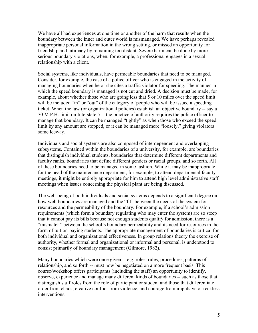We have all had experiences at one time or another of the harm that results when the boundary between the inner and outer world is mismanaged. We have perhaps revealed inappropriate personal information in the wrong setting, or missed an opportunity for friendship and intimacy by remaining too distant. Severe harm can be done by more serious boundary violations, when, for example, a professional engages in a sexual relationship with a client.

Social systems, like individuals, have permeable boundaries that need to be managed. Consider, for example, the case of a police officer who is engaged in the activity of managing boundaries when he or she cites a traffic violator for speeding. The manner in which the speed boundary is managed is not cut and dried. A decision must be made, for example, about whether those who are going less that 5 or 10 miles over the speed limit will be included "in" or "out" of the category of people who will be issued a speeding ticket. When the law (or organizational policies) establish an objective boundary -- say a 70 M.P.H. limit on Interstate 5 -- the practice of authority requires the police officer to manage that boundary. It can be managed "tightly" as when those who exceed the speed limit by any amount are stopped, or it can be managed more "loosely," giving violators some leeway.

Individuals and social systems are also composed of interdependent and overlapping subsystems. Contained within the boundaries of a university, for example, are boundaries that distinguish individual students, boundaries that determine different departments and faculty ranks, boundaries that define different genders or racial groups, and so forth. All of these boundaries need to be managed in some fashion. While it may be inappropriate for the head of the maintenance department, for example, to attend departmental faculty meetings, it might be entirely appropriate for him to attend high level administrative staff meetings when issues concerning the physical plant are being discussed.

The well-being of both individuals and social systems depends to a significant degree on how well boundaries are managed and the "fit" between the needs of the system for resources and the permeability of the boundary. For example, if a school's admission requirements (which form a boundary regulating who may enter the system) are so steep that it cannot pay its bills because not enough students qualify for admission, there is a "mismatch" between the school's boundary permeability and its need for resources in the form of tuition-paying students. The appropriate management of boundaries is critical for both individual and organizational effectiveness. In group relations theory the exercise of authority, whether formal and organizational or informal and personal, is understood to consist primarily of boundary management (Gilmore, 1982).

Many boundaries which were once given -- e.g. roles, rules, procedures, patterns of relationship, and so forth -- must now be negotiated on a more frequent basis. This course/workshop offers participants (including the staff) an opportunity to identify, observe, experience and manage many different kinds of boundaries -- such as those that distinguish staff roles from the role of participant or student and those that differentiate order from chaos, creative conflict from violence, and courage from impulsive or reckless interventions.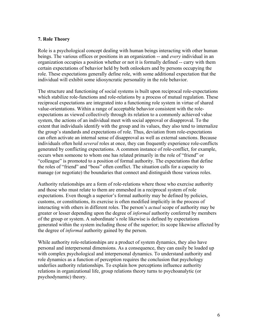## **7. Role Theory**

Role is a psychological concept dealing with human beings interacting with other human beings. The various offices or positions in an organization -- and *every* individual in an organization occupies a position whether or not it is formally defined -- carry with them certain expectations of behavior held by both onlookers and by persons occupying the role. These expectations generally define role, with some additional expectation that the individual will exhibit some idiosyncratic personality in the role behavior.

The structure and functioning of social systems is built upon reciprocal role-expectations which stabilize role-functions and role-relations by a process of mutual regulation. These reciprocal expectations are integrated into a functioning role system in virtue of shared value-orientations. Within a range of acceptable behavior consistent with the roleexpectations as viewed collectively through its relation to a commonly achieved value system, the actions of an individual meet with social approval or disapproval. To the extent that individuals identify with the group and its values, they also tend to internalize the group's standards and expectations of role. Thus, deviation from role-expectations can often activate an internal sense of disapproval as well as external sanctions. Because individuals often hold *several* roles at once, they can frequently experience role-conflicts generated by conflicting expectations. A common instance of role-conflict, for example, occurs when someone to whom one has related primarily in the role of "friend" or "colleague" is promoted to a position of formal authority. The expectations that define the roles of "friend" and "boss" often conflict. The situation calls for a capacity to manage (or negotiate) the boundaries that connect and distinguish those various roles.

Authority relationships are a form of role-relations where those who exercise authority and those who must relate to them are enmeshed in a reciprocal system of role expectations. Even though a superior's formal authority may be defined by policies, customs, or constitutions, its exercise is often modified implicitly in the process of interacting with others in different roles. The person's *actual* scope of authority may be greater or lesser depending upon the degree of *informal* authority conferred by members of the group or system. A subordinate's role likewise is defined by expectations generated within the system including those of the superior; its scope likewise affected by the degree of *informal* authority gained by the person.

While authority role-relationships are a product of system dynamics, they also have personal and interpersonal dimensions. As a consequence, they can easily be loaded up with complex psychological and interpersonal dynamics. To understand authority and role dynamics as a function of perception requires the conclusion that psychology underlies authority relationships. To explain how perceptions influence authority relations in organizational life, group relations theory turns to psychoanalytic (or psychodynamic) theory.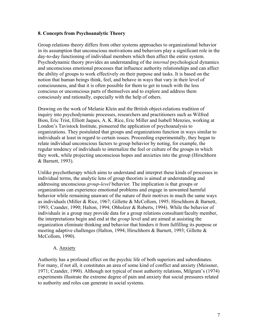## **8. Concepts from Psychoanalytic Theory**

Group relations theory differs from other systems approaches to organizational behavior in its assumption that unconscious motivations and behaviors play a significant role in the day-to-day functioning of individual members which then affect the entire system. Psychodynamic theory provides an understanding of the *internal* psychological dynamics and unconscious emotional processes that influence authority relationships and can affect the ability of groups to work effectively on their purpose and tasks. It is based on the notion that human beings think, feel, and behave in ways that vary in their level of consciousness, and that it is often possible for them to get in touch with the less conscious or unconscious parts of themselves and to explore and address them consciously and rationally, especially with the help of others.

Drawing on the work of Melanie Klein and the British object-relations tradition of inquiry into psychodynamic processes, researchers and practitioners such as Wilfred Bion, Eric Trist, Elliott Jaques, A. K. Rice, Eric Miller and Isabell Menzies, working at London's Tavistock Institute, pioneered the application of psychoanalysis to organizations. They postulated that groups and organizations function in ways similar to individuals at least in regard to certain issues. Proceeding experimentally, they began to relate individual unconscious factors to group behavior by noting, for example, the regular tendency of individuals to internalize the feel or culture of the groups in which they work, while projecting unconscious hopes and anxieties into the group (Hirschhorn & Barnett, 1993).

Unlike psychotherapy which aims to understand and interpret these kinds of processes in individual terms, the analytic lens of group theorists is aimed at understanding and addressing unconscious *group-level* behavior. The implication is that groups or organizations can experience emotional problems and engage in unwanted harmful behavior while remaining unaware of the nature of their motives in much the same ways as individuals (Miller & Rice, 1967; Gillette & McCollom, 1995; Hirschhorn & Barnett, 1993; Czander, 1990; Halton, 1994; Obholzer & Roberts, 1994). While the behavior of individuals in a group may provide data for a group relations consultant/faculty member, the interpretations begin and end at the *group* level and are aimed at assisting the organization eliminate thinking and behavior that hinders it from fulfilling its purpose or meeting adaptive challenges (Halton, 1994; Hirschhorn & Barnett, 1993; Gillette & McCollom, 1990).

# A. Anxiety

Authority has a profound effect on the psychic life of both superiors and subordinates. For many, if not all, it constitutes an area of some kind of conflict and anxiety (Meissner, 1971; Czander, 1990). Although not typical of most authority relations, Milgram's (1974) experiments illustrate the extreme degree of pain and anxiety that social pressures related to authority and roles can generate in social systems.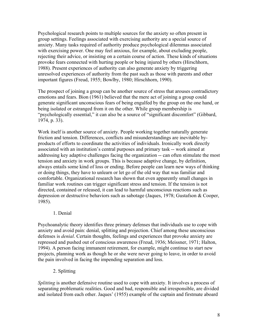Psychological research points to multiple sources for the anxiety so often present in group settings. Feelings associated with exercising authority are a special source of anxiety. Many tasks required of authority produce psychological dilemmas associated with exercising power. One may feel anxious, for example, about excluding people, rejecting their advice, or insisting on a certain course of action. These kinds of situations provoke fears connected with hurting people or being injured by others (Hirschhorn, 1988). Present experiences of authority can also generate anxiety by triggering unresolved experiences of authority from the past such as those with parents and other important figures (Freud, 1955; Bowlby, 1980; Hirschhorn, 1990).

The prospect of joining a group can be another source of stress that arouses contradictory emotions and fears. Bion (1961) believed that the mere act of joining a group could generate significant unconscious fears of being engulfed by the group on the one hand, or being isolated or estranged from it on the other. While group membership is "psychologically essential," it can also be a source of "significant discomfort" (Gibbard, 1974, p. 33).

Work itself is another source of anxiety. People working together naturally generate friction and tension. Differences, conflicts and misunderstandings are inevitable byproducts of efforts to coordinate the activities of individuals. Ironically work directly associated with an institution's central purposes and primary task -- work aimed at addressing key adaptive challenges facing the organization -- can often stimulate the most tension and anxiety in work groups. This is because adaptive change, by definition, always entails some kind of loss or ending. Before people can learn new ways of thinking or doing things, they have to unlearn or let go of the old way that was familiar and comfortable. Organizational research has shown that even apparently small changes in familiar work routines can trigger significant stress and tension. If the tension is not directed, contained or released, it can lead to harmful unconscious reactions such as depression or destructive behaviors such as sabotage (Jaques, 1978; Gustafson & Cooper, 1985).

#### 1. Denial

Psychoanalytic theory identifies three primary defenses that individuals use to cope with anxiety and avoid pain: denial, splitting and projection. Chief among these unconscious defenses is *denial*. Certain thoughts, feelings and experiences that provoke anxiety are repressed and pushed out of conscious awareness (Freud, 1936; Meissner, 1971; Halton, 1994). A person facing immanent retirement, for example, might continue to start new projects, planning work as though he or she were never going to leave, in order to avoid the pain involved in facing the impending separation and loss.

2. Splitting

*Splitting* is another defensive routine used to cope with anxiety. It involves a process of separating problematic realities. Good and bad, responsible and irresponsible, are divided and isolated from each other. Jaques' (1955) example of the captain and firstmate aboard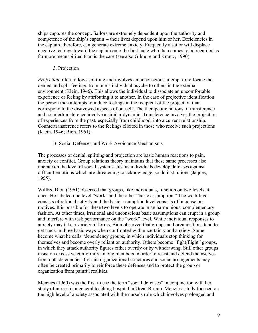ships captures the concept. Sailors are extremely dependent upon the authority and competence of the ship's captain -- their lives depend upon him or her. Deficiencies in the captain, therefore, can generate extreme anxiety. Frequently a sailor will displace negative feelings toward the captain onto the first mate who then comes to be regarded as far more meanspirited than is the case (see also Gilmore and Krantz, 1990).

# 3. Projection

*Projection* often follows splitting and involves an unconscious attempt to re-locate the denied and split feelings from one's individual psyche to others in the external environment (Klein, 1946). This allows the individual to dissociate an uncomfortable experience or feeling by attributing it to another. In the case of projective identification the person then attempts to induce feelings in the recipient of the projection that correspond to the disavowed aspects of oneself. The therapeutic notions of transference and countertransference involve a similar dynamic. Transference involves the projection of experiences from the past, especially from childhood, into a current relationship. Countertransference refers to the feelings elicited in those who receive such projections (Klein, 1946; Bion, 1961).

# B. Social Defenses and Work Avoidance Mechanisms

The processes of denial, splitting and projection are basic human reactions to pain, anxiety or conflict. Group relations theory maintains that these same processes also operate on the level of social systems. Just as individuals develop defenses against difficult emotions which are threatening to acknowledge, so do institutions (Jaques, 1955).

Wilfred Bion (1961) observed that groups, like individuals, function on two levels at once. He labeled one level "work" and the other "basic assumption." The work level consists of rational activity and the basic assumption level consists of unconscious motives. It is possible for these two levels to operate in an harmonious, complementary fashion. At other times, irrational and unconscious basic assumptions can erupt in a group and interfere with task performance on the "work" level. While individual responses to anxiety may take a variety of forms, Bion observed that groups and organizations tend to get stuck in three basic ways when confronted with uncertainty and anxiety. Some become what he calls "dependency groups, in which individuals stop thinking for themselves and become overly reliant on authority. Others become "fight/flight" groups, in which they attack authority figures either overtly or by withdrawing. Still other groups insist on excessive conformity among members in order to resist and defend themselves from outside enemies. Certain organizational structures and social arrangements may often be created primarily to reinforce these defenses and to protect the group or organization from painful realities.

Menzies (1960) was the first to use the term "social defenses" in conjunction with her study of nurses in a general teaching hospital in Great Britain. Menzies' study focused on the high level of anxiety associated with the nurse's role which involves prolonged and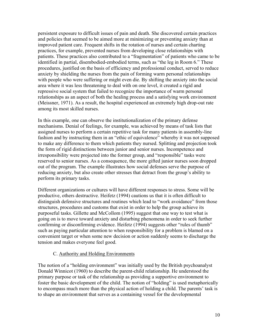persistent exposure to difficult issues of pain and death. She discovered certain practices and policies that seemed to be aimed more at minimizing or preventing anxiety than at improved patient care. Frequent shifts in the rotation of nurses and certain charting practices, for example, prevented nurses from developing close relationships with patients. These practices also contributed to a "fragmentation" of patients who came to be identified in partial, disembodied-embodied terms, such as "the leg in Room 6." These procedures, justified on the basis of efficiency and professional conduct, served to reduce anxiety by shielding the nurses from the pain of forming warm personal relationships with people who were suffering or might even die. By shifting the anxiety into the social area where it was less threatening to deal with on one level, it created a rigid and repressive social system that failed to recognize the importance of warm personal relationships as an aspect of both the healing process and a satisfying work environment (Meissner, 1971). As a result, the hospital experienced an extremely high drop-out rate among its most skilled nurses.

In this example, one can observe the institutionalization of the primary defense mechanisms. Denial of feelings, for example, was achieved by means of task lists that assigned nurses to perform a certain repetitive task for many patients in assembly-line fashion and by instructing them in an "ethic of equivalence" whereby it was not supposed to make any difference to them which patients they nursed. Splitting and projection took the form of rigid distinctions between junior and senior nurses. Incompetence and irresponsibility were projected into the former group, and "responsible" tasks were reserved to senior nurses. As a consequence, the more gifted junior nurses soon dropped out of the program. The example illustrates how social defenses serve the purpose of reducing anxiety, but also create other stresses that detract from the group's ability to perform its primary tasks.

Different organizations or cultures will have different responses to stress. Some will be productive, others destructive. Heifetz (1994) cautions us that it is often difficult to distinguish defensive structures and routines which lead to "work avoidance" from those structures, procedures and customs that exist in order to help the group achieve its purposeful tasks. Gillette and McCollom (1995) suggest that one way to test what is going on is to move toward anxiety and disturbing phenomena in order to seek further confirming or disconfirming evidence. Heifetz (1994) suggests other "rules of thumb" such as paying particular attention to when responsibility for a problem is blamed on a convenient target or when some new decision or action suddenly seems to discharge the tension and makes everyone feel good.

#### C. Authority and Holding Environments

The notion of a "holding environment" was initially used by the British psychoanalyst Donald Winnicot (1960) to describe the parent-child relationship. He understood the primary purpose or task of the relationship as providing a supportive environment to foster the basic development of the child. The notion of "holding" is used metaphorically to encompass much more than the physical action of holding a child. The parents' task is to shape an environment that serves as a containing vessel for the developmental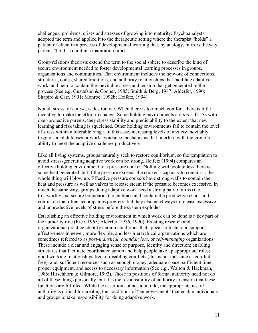challenges, problems, crises and stresses of growing into maturity. Psychoanalysts adopted the term and applied it to the therapeutic setting where the therapist "holds" a patient or client in a process of developmental learning that, by analogy, mirrors the way parents "hold" a child in a maturation process.

Group relations theorists extend the term to the social sphere to describe the kind of secure environment needed to foster developmental learning processes in groups, organizations and communities. That environment includes the network of connections, structures, codes, shared traditions, and authority relationships that facilitate adaptive work, and help to contain the inevitable stress and tension that get generated in the process (See e.g. Gustafson & Cooper, 1985; Smith & Berg, 1987; Alderfer, 1990; Shapiro & Carr, 1991; Monroe, 1992b; Heifetz, 1994).

Not all stress, of course, is destructive. When there is too much comfort, there is little incentive to make the effort to change. Some holding environments are *too* safe. As with over-protective parents, they stress stability and predictability to the extent that new learning and risk taking is squelched. Other holding environments fail to contain the level of stress within a tolerable range. In this case, increasing levels of anxiety inevitably trigger social defenses or work avoidance mechanisms that interfere with the group's ability to meet the adaptive challenge productively.

Like all living systems, groups naturally seek to restore equilibrium, so the temptation to avoid stress-generating adaptive work can be strong. Heifetz (1994) compares an effective holding environment to a pressure cooker. Nothing will cook unless there is some heat generated, but if the pressure exceeds the cooker's capacity to contain it, the whole thing will blow up. Effective pressure cookers have strong walls to contain the heat and pressure as well as valves to release steam if the pressure becomes excessive. In much the same way, groups doing adaptive work need a strong pair of arms (i. e. trustworthy and secure boundaries) to embrace and contain the productive chaos and confusion that often accompanies progress, but they also need ways to release excessive and unproductive levels of stress before the system explodes.

Establishing an effective holding environment in which work can be done is a key part of the authority role (Rice, 1965; Alderfer, 1976, 1990). Existing research and organizational practice identify certain conditions that appear to foster and support effectiveness in newer, more flexible, and less hierarchical organizations which are sometimes referred to as *post-industrial, boundaryless*, or *self-managing* organizations. These include a clear and engaging sense of purpose, identity and direction; enabling structures that facilitate coordinated action and help people take up appropriate roles; good working relationships free of disabling conflicts (this is not the same as conflictfree); and, sufficient resources such as enough money, adequate space, sufficient time, proper equipment, and access to necessary information (See e.g., Walton & Hackman, 1986; Hirschhorn & Gilmore, 1992). Those in positions of formal authority need not do all of these things personally, but it is the responsibility of authority to ensure that these functions are fulfilled. While the assertion sounds a bit odd, the appropriate use of authority is critical for creating the conditions of "empowerment" that enable individuals and groups to take responsibility for doing adaptive work.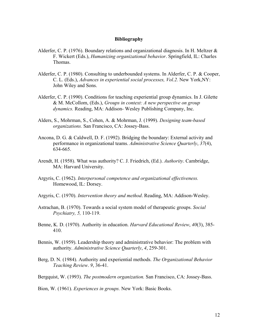#### **Bibliography**

- Alderfer, C. P. (1976). Boundary relations and organizational diagnosis. In H. Meltzer  $\&$ F. Wickert (Eds.), *Humanizing organizational behavior*. Springfield, IL: Charles Thomas.
- Alderfer, C. P. (1980). Consulting to underbounded systems. In Alderfer, C. P. & Cooper, C. L. (Eds.), *Advances in experiential social processes, Vol.2.* New York,NY: John Wiley and Sons.
- Alderfer, C. P. (1990). Conditions for teaching experiential group dynamics. In J. Gilette & M. McCollom, (Eds.), *Groups in context: A new perspective on group dynamics.* Reading, MA: Addison- Wesley Publishing Company, Inc.
- Alders, S., Mohrman, S., Cohen, A. & Mohrman, J. (1999). *Designing team-based organizations.* San Francisco, CA: Jossey-Bass.
- Ancona, D. G. & Caldwell, D. F. (1992). Bridging the boundary: External activity and performance in organizational teams. *Administrative Science Quarterly*, *37*(4), 634-665.
- Arendt, H. (1958). What was authority? C. J. Friedrich, (Ed.). *Authority*. Cambridge, MA: Harvard University.
- Argyris, C. (1962). *Interpersonal competence and organizational effectiveness.*  Homewood, IL: Dorsey.
- Argyris, C. (1970). *Intervention theory and method*. Reading, MA: Addison-Wesley.
- Astrachan, B. (1970). Towards a social system model of therapeutic groups. *Social Psychiatry, 5,* 110-119.
- Benne, K. D. (1970). Authority in education. *Harvard Educational Review*, *40*(3), 385- 410.
- Bennis, W. (1959). Leadership theory and administrative behavior: The problem with authority. *Administrative Science Quarterly*, *4*, 259-301.
- Berg, D. N. (1984). Authority and experiential methods. *The Organizational Behavior Teaching Review*. *9*, 36-41.
- Bergquist, W. (1993). *The postmodern organization.* San Francisco, CA: Jossey-Bass.

Bion, W. (1961). *Experiences in groups.* New York: Basic Books.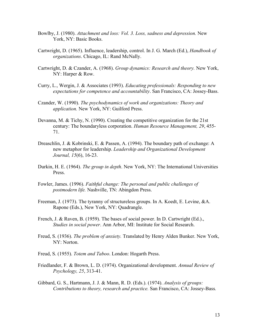- Bowlby, J. (1980). *Attachment and loss: Vol. 3. Loss, sadness and depression.* New York, NY: Basic Books.
- Cartwright, D. (1965). Influence, leadership, control. In J. G. March (Ed.), *Handbook of organizations*. Chicago, IL: Rand McNally.
- Cartwright, D. & Czander, A. (1968). *Group dynamics: Research and theory.* New York, NY: Harper & Row.
- Curry, L., Wergin, J. & Associates (1993). *Educating professionals: Responding to new expectations for competence and accountability*. San Francisco, CA: Jossey-Bass.
- Czander, W. (1990). *The psychodynamics of work and organizations: Theory and application.* New York, NY: Guilford Press.
- Devanna, M. & Tichy, N. (1990). Creating the competitive organization for the 21st century: The boundaryless corporation. *Human Resource Management, 29*, 455- 71.
- Dreaschlin, J. & Kobrinski, E. & Passen, A. (1994). The boundary path of exchange: A new metaphor for leadership. *Leadership and Organizational Development Journal, 15*(6), 16-23.
- Durkin, H. E. (1964). *The group in depth*. New York, NY: The International Universities Press.
- Fowler, James. (1996). *Faithful change: The personal and public challenges of postmodern life.* Nashville, TN: Abingdon Press.
- Freeman, J. (1973). The tyranny of structureless groups. In A. Koedt, E. Levine, &A. Rapone (Eds.), New York, NY: Quadrangle.
- French, J. & Raven, B. (1959). The bases of social power. In D. Cartwright (Ed.)., *Studies in social power*. Ann Arbor, MI: Institute for Social Research.
- Freud, S. (1936). *The problem of anxiety.* Translated by Henry Alden Bunker. New York, NY: Norton.
- Freud, S. (1955). *Totem and Taboo*. London: Hogarth Press.
- Friedlander, F. & Brown, L. D. (1974). Organizational development. *Annual Review of Psychology, 25*, 313-41.
- Gibbard, G. S., Hartmann, J. J. & Mann, R. D. (Eds.). (1974). *Analysis of groups: Contributions to theory, research and practice.* San Francisco, CA: Jossey-Bass*.*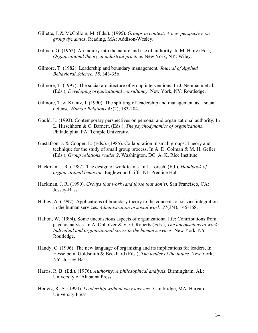- Gillette, J. & McCollom, M. (Eds.). (1995). *Groups in context: A new perspective on group dynamics*. Reading, MA: Addison-Wesley.
- Gilman, G. (1962). An inquiry into the nature and use of authority. In M. Haire (Ed.), *Organizational theory in industrial practice.* New York, NY: Wiley.
- Gilmore, T. (1982). Leadership and boundary management*. Journal of Applied Behavioral Science, 18,* 343-356.
- Gilmore, T. (1997). The social architecture of group interventions. In J. Neumann et al. (Eds.), *Developing organizational consultancy.* New York, NY: Routledge.
- Gilmore, T. & Krantz, J. (1990). The splitting of leadership and management as a social defense. *Human Relations 43*(2), 183-204.
- Gould, L. (1993). Contemporary perspectives on personal and organizational authority. In L. Hirschhorn & C. Barnett, (Eds.), *The psychodynamics of organizations*. Philadelphia, PA: Temple University.
- Gustafson, J. & Cooper, L. (Eds.). (1985). Collaboration in small groups: Theory and technique for the study of small group process. In A. D. Colman & M. H. Geller (Eds.), *Group relations reader 2*. Washington, DC: A. K. Rice Institute.
- Hackman, J. R. (1987). The design of work teams. In J. Lorsch, (Ed.), *Handbook of organizational behavior.* Englewood Cliffs, NJ: Prentice Hall.
- Hackman, J. R. (1990). *Groups that work (and those that don't).* San Francisco, CA: Jossey-Bass.
- Halley, A. (1997). Applications of boundary theory to the concepts of service integration in the human services. *Administration in social work, 21*(3/4), 145-168.
- Halton, W. (1994). Some unconscious aspects of organizational life: Contributions from psychoanalysis. In A. Obholzer & V. G. Roberts (Eds.), *The unconscious at work: Individual and organizational stress in the human services.* New York, NY: Routledge.
- Handy, C. (1996). The new language of organizing and its implications for leaders. In Hesselbein, Goldsmith & Beckhard (Eds.), *The leader of the future.* New York, NY: Jossey-Bass.
- Harris, R. B. (Ed.). (1976). *Authority: A philosophical analysis.* Birmingham, AL: University of Alabama Press.
- Heifetz, R. A. (1994). *Leadership without easy answers*. Cambridge, MA: Harvard University Press.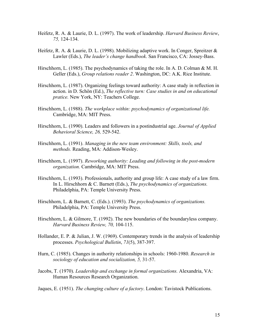- Heifetz, R. A. & Laurie, D. L. (1997). The work of leadership. *Harvard Business Review*, *75,* 124-134.
- Heifetz, R. A. & Laurie, D. L. (1998). Mobilizing adaptive work. In Conger, Spreitzer & Lawler (Eds.), *The leader's change handbook*. San Francisco, CA: Jossey-Bass.
- Hirschhorn, L. (1985). The psychodynamics of taking the role. In A. D. Colman & M. H. Geller (Eds.), *Group relations reader 2*. Washington, DC: A.K. Rice Institute.
- Hirschhorn, L. (1987). Organizing feelings toward authority: A case study in reflection in action. in D. Schön (Ed.), *The reflective turn: Case studies in and on educational pratice.* New York, NY: Teachers College.
- Hirschhorn, L. (1988). *The workplace within: psychodynamics of organizational life.*  Cambridge, MA: MIT Press.
- Hirschhorn, L. (1990). Leaders and followers in a postindustrial age. *Journal of Applied Behavioral Science, 26,* 529-542.
- Hirschhorn, L. (1991). *Managing in the new team environment: Skills, tools, and methods.* Reading, MA: Addison-Wesley.
- Hirschhorn, L. (1997). *Reworking authority: Leading and following in the post-modern organization.* Cambridge, MA: MIT Press.
- Hirschhorn, L. (1993). Professionals, authority and group life: A case study of a law firm. In L. Hirschhorn & C. Barnett (Eds.), *The psychodynamics of organizations.*  Philadelphia, PA: Temple University Press.
- Hirschhorn, L. & Barnett, C. (Eds.). (1993). *The psychodynamics of organizations.*  Philadelphia, PA: Temple University Press.
- Hirschhorn, L. & Gilmore, T. (1992). The new boundaries of the boundaryless company. *Harvard Business Review, 70,* 104-115.
- Hollander, E. P. & Julian, J. W. (1969). Contemporary trends in the analysis of leadership processes. *Psychological Bulletin*, *71*(5), 387-397.
- Hurn, C. (1985). Changes in authority relationships in schools: 1960-1980. *Research in sociology of education and socialization, 5,* 31-57.
- Jacobs, T. (1970). *Leadership and exchange in formal organizations.* Alexandria, VA: Human Resources Research Organization.

Jaques, E. (1951). *The changing culture of a factory*. London: Tavistock Publications.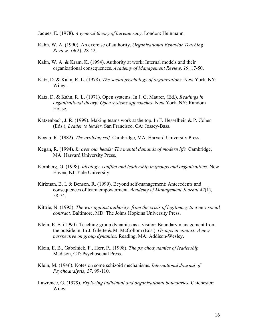Jaques, E. (1978). *A general theory of bureaucracy*. London: Heinmann.

- Kahn, W. A. (1990). An exercise of authority. *Organizational Behavior Teaching Review*. *14*(2), 28-42.
- Kahn, W. A. & Kram, K. (1994). Authority at work: Internal models and their organizational consequences. *Academy of Management Review*. *19*, 17-50.
- Katz, D. & Kahn, R. L. (1978). *The social psychology of organizations.* New York, NY: Wiley.
- Katz, D. & Kahn, R. L. (1971). Open systems. In J. G. Maurer, (Ed.), *Readings in organizational theory: Open systems approaches.* New York, NY: Random House.
- Katzenbach, J. R. (1999). Making teams work at the top. In F. Hesselbein & P. Cohen (Eds.), *Leader to leader*. San Francisco, CA: Jossey-Bass.
- Kegan, R. (1982). *The evolving self.* Cambridge, MA: Harvard University Press.
- Kegan, R. (1994). *In over our heads: The mental demands of modern life.* Cambridge, MA: Harvard University Press.
- Kernberg, O. (1998). *Ideology, conflict and leadership in groups and organizations.* New Haven, NJ: Yale University.
- Kirkman, B. I. & Benson, R. (1999). Beyond self-management: Antecedents and consequences of team empowerment. *Academy of Management Journal 42*(1), 58-74.
- Kittrie, N. (1995). *The war against authority: from the crisis of legitimacy to a new social contract.* Baltimore, MD: The Johns Hopkins University Press.
- Klein, E. B. (1990). Teaching group dynamics as a visitor: Boundary management from the outside in. In J. Gilette & M. McCollom (Eds.), *Groups in context: A new perspective on group dynamics.* Reading, MA: Addison-Wesley.
- Klein, E. B., Gabelnick, F., Herr, P., (1998). *The psychodynamics of leadership.*  Madison, CT: Psychosocial Press.
- Klein, M. (1946). Notes on some schizoid mechanisms. *International Journal of Psychoanalysis*, *27*, 99-110.
- Lawrence, G. (1979). *Exploring individual and organizational boundaries.* Chichester: Wiley.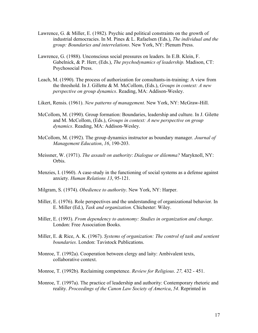- Lawrence, G. & Miller, E. (1982). Psychic and political constraints on the growth of industrial democracies. In M. Pines & L. Rafaelsen (Eds.), *The individual and the group: Boundaries and interrelations*. New York, NY: Plenum Press.
- Lawrence, G. (1988). Unconscious social pressures on leaders. In E.B. Klein, F. Gabelnick, & P. Herr, (Eds.), *The psychodynamics of leadership.* Madison, CT: Psychosocial Press.
- Leach, M. (1990). The process of authorization for consultants-in-training: A view from the threshold. In J. Gillette & M. McCollom, (Eds.), *Groups in context: A new perspective on group dynamics*. Reading, MA: Addison-Wesley.
- Likert, Rensis. (1961). *New patterns of management.* New York, NY: McGraw-Hill.
- McCollom, M. (1990). Group formation: Boundaries, leadership and culture. In J. Gilette and M. McCollom, (Eds.), *Groups in context: A new perspective on group dynamics*. Reading, MA: Addison-Wesley.
- McCollom, M. (1992). The group dynamics instructor as boundary manager. *Journal of Management Education*, *16*, 190-203.
- Meissner, W. (1971). *The assault on authority*: *Dialogue or dilemma?* Maryknoll, NY: Orbis.
- Menzies, I. (1960). A case-study in the functioning of social systems as a defense against anxiety. *Human Relations 13*, 95-121.
- Milgram, S. (1974). *Obedience to authority*. New York, NY: Harper.
- Miller, E. (1976). Role perspectives and the understanding of organizational behavior. In E. Miller (Ed.), *Task and organization.* Chichester: Wiley.
- Miller, E. (1993). *From dependency to autonomy: Studies in organization and change*. London: Free Association Books.
- Miller, E. & Rice, A. K. (1967). *Systems of organization: The control of task and sentient boundaries.* London: Tavistock Publications.
- Monroe, T. (1992a). Cooperation between clergy and laity: Ambivalent texts, collaborative context.
- Monroe, T. (1992b). Reclaiming competence. *Review for Religious*. *27,* 432 451.
- Monroe, T. (1997a). The practice of leadership and authority: Contemporary rhetoric and reality. *Proceedings of the Canon Law Society of America*, *54*. Reprinted in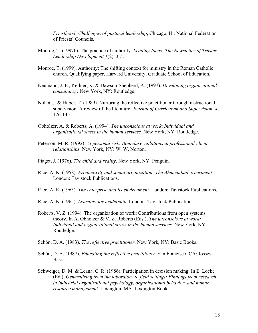*Priesthood: Challenges of pastoral leadership*, Chicago, IL: National Federation of Priests' Councils.

- Monroe, T. (1997b). The practice of authority. *Leading Ideas: The Newsletter of Trustee Leadership Development 1*(2), 3-5.
- Monroe, T. (1999). Authority: The shifting context for ministry in the Roman Catholic church. Qualifying paper, Harvard University, Graduate School of Education.
- Neumann, J. E., Kellner, K. & Dawson-Shepherd, A. (1997). *Developing organizational consultancy.* New York, NY: Routledge.
- Nolan, J. & Huber, T. (1989). Nurturing the reflective practitioner through instructional supervision: A review of the literature. *Journal of Curriculum and Supervision, 4*, 126-145.
- Obholzer, A. & Roberts, A. (1994). *The unconscious at work*: *Individual and organizational stress in the human services.* New York, NY: Routledge.
- Peterson, M. R. (1992). *At personal risk: Boundary violations in professional-client relationships.* New York, NY: W. W. Norton.
- Piaget, J. (1976). *The child and reality*. New York, NY: Penguin.
- Rice, A. K. (1958). *Productivity and social organization: The Ahmedabad experiment.*  London: Tavistock Publications.
- Rice, A. K. (1963). *The enterprise and its environment.* London: Tavistock Publications.
- Rice, A. K. (1965). *Learning for leadership*. London: Tavistock Publications.
- Roberts, V. Z. (1994). The organization of work: Contributions from open systems theory. In A. Obholzer & V. Z. Roberts (Eds.), *The unconscious at work: Individual and organizational stress in the human services.* New York, NY: Routledge.
- Schön, D. A. (1983). *The reflective practitioner*. New York, NY: Basic Books.
- Schön, D. A. (1987). *Educating the reflective practitioner*. San Francisco, CA: Jossey-Bass.
- Schweiger, D. M. & Leana, C. R. (1986). Participation in decision making. In E. Locke (Ed.), *Generalizing from the laboratory to field settings: Findings from research in industrial organizational psychology, organizational behavior, and human resource management.* Lexington, MA: Lexington Books.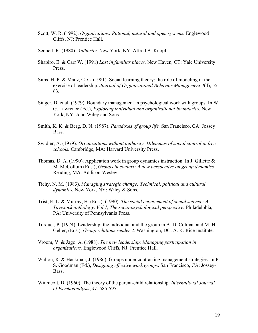- Scott, W. R. (1992). *Organizations: Rational, natural and open systems.* Englewood Cliffs, NJ: Prentice Hall.
- Sennett, R. (1980). *Authority.* New York, NY: Alfred A. Knopf.
- Shapiro, E. & Carr W. (1991) *Lost in familiar places.* New Haven, CT: Yale University **Press**.
- Sims, H. P. & Manz, C. C. (1981). Social learning theory: the role of modeling in the exercise of leadership. *Journal of Organizational Behavior Management 3*(4), 55- 63.
- Singer, D. et al. (1979). Boundary management in psychological work with groups. In W. G. Lawrence (Ed.), *Exploring individual and organizational boundaries*. New York, NY: John Wiley and Sons.
- Smith, K. K. & Berg, D. N. (1987). *Paradoxes of group life.* San Francisco, CA: Jossey Bass.
- Swidler, A. (1979). *Organizations without authority: Dilemmas of social control in free schools.* Cambridge, MA: Harvard University Press.
- Thomas, D. A. (1990). Application work in group dynamics instruction. In J. Gillette & M. McCollum (Eds.), *Groups in context: A new perspective on group dynamics.* Reading, MA: Addison-Wesley.
- Tichy, N. M. (1983). *Managing strategic change: Technical, political and cultural dynamics.* New York, NY: Wiley & Sons.
- Trist, E. L. & Murray, H. (Eds.). (1990). *The social engagement of social science: A Tavistock anthology, Vol 1, The socio-psychological perspective.* Philadelphia, PA: University of Pennsylvania Press.
- Turquet, P. (1974). Leadership: the individual and the group in A. D. Colman and M. H. Geller, (Eds.), *Group relations reader 2,* Washington, DC: A. K. Rice Institute.
- Vroom, V. & Jago, A. (1988). *The new leadership: Managing participation in organizations.* Englewood Cliffs, NJ: Prentice Hall.
- Walton, R. & Hackman, J. (1986). Groups under contrasting management strategies. In P. S. Goodman (Ed.), *Designing effective work groups*. San Francisco, CA: Jossey-Bass.
- Winnicott, D. (1960). The theory of the parent-child relationship. *International Journal of Psychoanalysis*, *41*, 585-595.